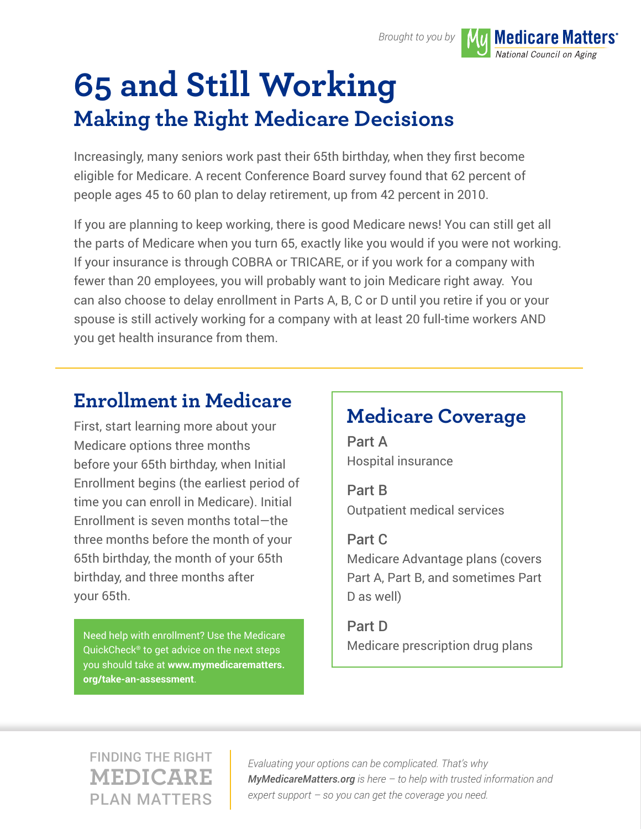

**Medicare Matters<sup>®</sup>** National Council on Aging

# **65 and Still Working Making the Right Medicare Decisions**

Increasingly, many seniors work past their 65th birthday, when they first become eligible for Medicare. A recent Conference Board survey found that 62 percent of people ages 45 to 60 plan to delay retirement, up from 42 percent in 2010.

If you are planning to keep working, there is good Medicare news! You can still get all the parts of Medicare when you turn 65, exactly like you would if you were not working. If your insurance is through COBRA or TRICARE, or if you work for a company with fewer than 20 employees, you will probably want to join Medicare right away. You can also choose to delay enrollment in Parts A, B, C or D until you retire if you or your spouse is still actively working for a company with at least 20 full-time workers AND you get health insurance from them.

# **Enrollment in Medicare**

First, start learning more about your Medicare options three months before your 65th birthday, when Initial Enrollment begins (the earliest period of time you can enroll in Medicare). Initial Enrollment is seven months total—the three months before the month of your 65th birthday, the month of your 65th birthday, and three months after your 65th.

[Need help with enrollment? Use the Medicare](https://www.mymedicarematters.org/take-an-assessment/)  $\begin{array}{c} \n\hline\n\end{array}$  Medicare prescription drug plans QuickCheck® to get advice on the next steps you should take at **www.mymedicarematters. org/take-an-assessment**.

# **Medicare Coverage**

Part A Hospital insurance

Part B Outpatient medical services

Part C Medicare Advantage plans (covers Part A, Part B, and sometimes Part D as well)

Part D

# FINDING THE RIGHT **MEDICARE** PLAN MATTERS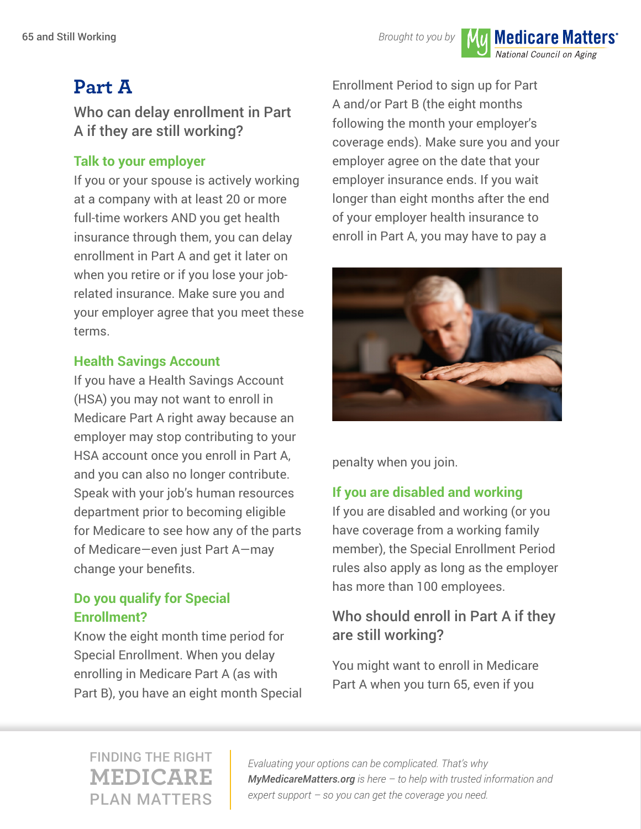*Brought to you by*

National Council on Aging

**Medicare Matters<sup>®</sup>** 

# **Part A**

Who can delay enrollment in Part A if they are still working?

#### **Talk to your employer**

If you or your spouse is actively working at a company with at least 20 or more full-time workers AND you get health insurance through them, you can delay enrollment in Part A and get it later on when you retire or if you lose your jobrelated insurance. Make sure you and your employer agree that you meet these terms.

#### **Health Savings Account**

If you have a Health Savings Account (HSA) you may not want to enroll in Medicare Part A right away because an employer may stop contributing to your HSA account once you enroll in Part A, and you can also no longer contribute. Speak with your job's human resources department prior to becoming eligible for Medicare to see how any of the parts of Medicare—even just Part A—may change your benefits.

#### **Do you qualify for Special Enrollment?**

Know the eight month time period for Special Enrollment. When you delay enrolling in Medicare Part A (as with Part B), you have an eight month Special

Enrollment Period to sign up for Part A and/or Part B (the eight months following the month your employer's coverage ends). Make sure you and your employer agree on the date that your employer insurance ends. If you wait longer than eight months after the end of your employer health insurance to enroll in Part A, you may have to pay a



penalty when you join.

#### **If you are disabled and working**

If you are disabled and working (or you have coverage from a working family member), the Special Enrollment Period rules also apply as long as the employer has more than 100 employees.

### Who should enroll in Part A if they are still working?

You might want to enroll in Medicare Part A when you turn 65, even if you

### FINDING THE RIGHT **MEDICARE** PLAN MATTERS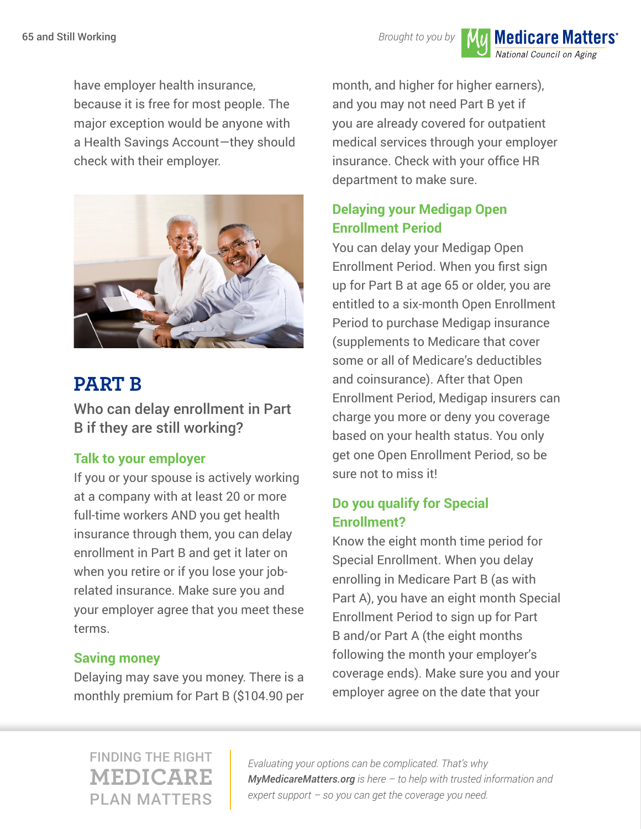*Brought to you by*

National Council on Aging

**Medicare Matters<sup>®</sup>** 

have employer health insurance, because it is free for most people. The major exception would be anyone with a Health Savings Account—they should check with their employer.



# **PART B**

Who can delay enrollment in Part B if they are still working?

#### **Talk to your employer**

If you or your spouse is actively working at a company with at least 20 or more full-time workers AND you get health insurance through them, you can delay enrollment in Part B and get it later on when you retire or if you lose your jobrelated insurance. Make sure you and your employer agree that you meet these terms.

#### **Saving money**

Delaying may save you money. There is a monthly premium for Part B (\$104.90 per

month, and higher for higher earners), and you may not need Part B yet if you are already covered for outpatient medical services through your employer insurance. Check with your office HR department to make sure.

#### **Delaying your Medigap Open Enrollment Period**

You can delay your Medigap Open Enrollment Period. When you first sign up for Part B at age 65 or older, you are entitled to a six-month Open Enrollment Period to purchase Medigap insurance (supplements to Medicare that cover some or all of Medicare's deductibles and coinsurance). After that Open Enrollment Period, Medigap insurers can charge you more or deny you coverage based on your health status. You only get one Open Enrollment Period, so be sure not to miss it!

#### **Do you qualify for Special Enrollment?**

Know the eight month time period for Special Enrollment. When you delay enrolling in Medicare Part B (as with Part A), you have an eight month Special Enrollment Period to sign up for Part B and/or Part A (the eight months following the month your employer's coverage ends). Make sure you and your employer agree on the date that your

FINDING THE RIGHT **MEDICARE** PLAN MATTERS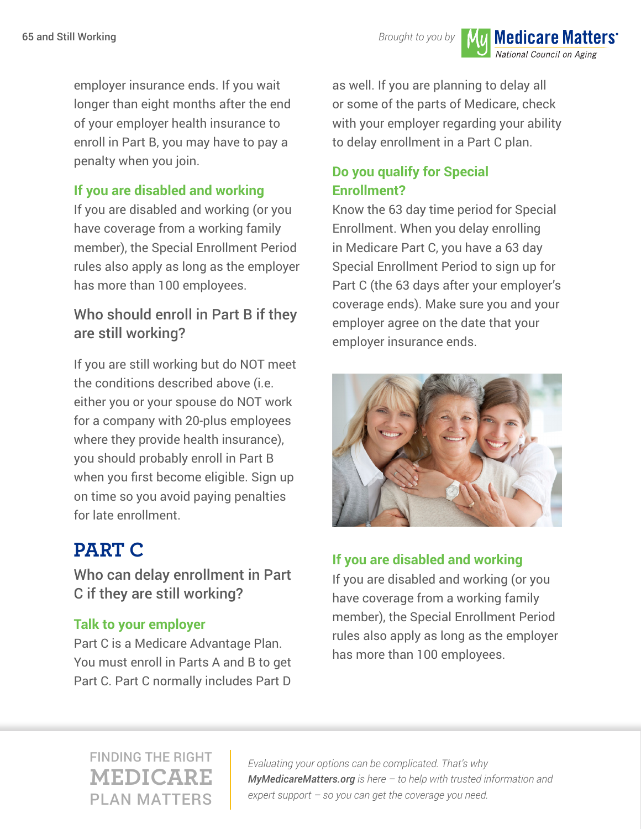**Brought to you by Mull Medicare Matters**<sup>\*</sup>

National Council on Aging

employer insurance ends. If you wait longer than eight months after the end of your employer health insurance to enroll in Part B, you may have to pay a penalty when you join.

#### **If you are disabled and working**

If you are disabled and working (or you have coverage from a working family member), the Special Enrollment Period rules also apply as long as the employer has more than 100 employees.

### Who should enroll in Part B if they are still working?

If you are still working but do NOT meet the conditions described above (i.e. either you or your spouse do NOT work for a company with 20-plus employees where they provide health insurance), you should probably enroll in Part B when you first become eligible. Sign up on time so you avoid paying penalties for late enrollment.

# **PART C**

Who can delay enrollment in Part C if they are still working?

#### **Talk to your employer**

Part C is a Medicare Advantage Plan. You must enroll in Parts A and B to get Part C. Part C normally includes Part D

as well. If you are planning to delay all or some of the parts of Medicare, check with your employer regarding your ability to delay enrollment in a Part C plan.

#### **Do you qualify for Special Enrollment?**

Know the 63 day time period for Special Enrollment. When you delay enrolling in Medicare Part C, you have a 63 day Special Enrollment Period to sign up for Part C (the 63 days after your employer's coverage ends). Make sure you and your employer agree on the date that your employer insurance ends.



#### **If you are disabled and working**

If you are disabled and working (or you have coverage from a working family member), the Special Enrollment Period rules also apply as long as the employer has more than 100 employees.

### FINDING THE RIGHT **MEDICARE** PLAN MATTERS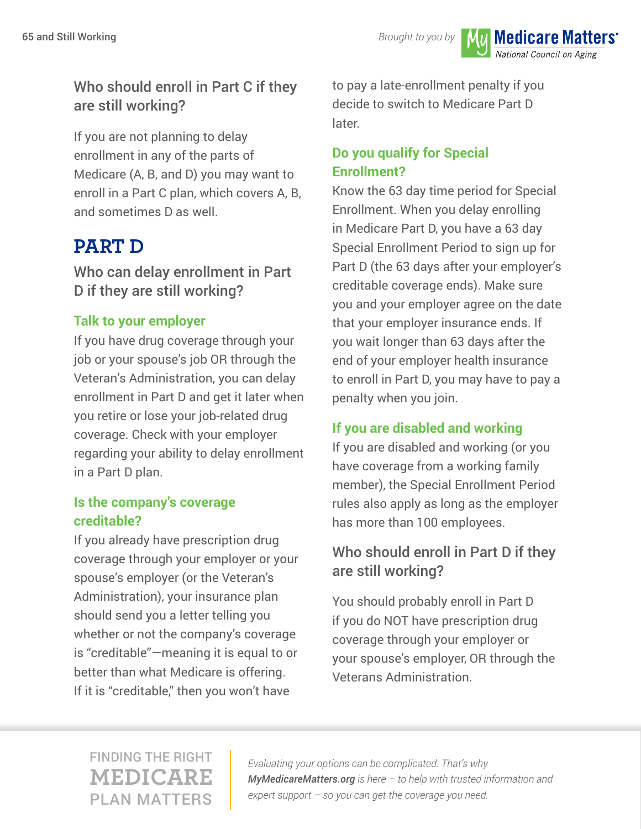National Council on Aging

**Medicare Matters<sup>®</sup>** 

### Who should enroll in Part C if they are still working?

If you are not planning to delay enrollment in any of the parts of Medicare (A, B, and D) you may want to enroll in a Part C plan, which covers A, B, and sometimes D as well.

## **PART D**

Who can delay enrollment in Part D if they are still working?

#### **Talk to your employer**

If you have drug coverage through your job or your spouse's job OR through the Veteran's Administration, you can delay enrollment in Part D and get it later when you retire or lose your job-related drug coverage. Check with your employer regarding your ability to delay enrollment in a Part D plan.

#### **Is the company's coverage creditable?**

If you already have prescription drug coverage through your employer or your spouse's employer (or the Veteran's Administration), your insurance plan should send you a letter telling you whether or not the company's coverage is "creditable"—meaning it is equal to or better than what Medicare is offering. If it is "creditable," then you won't have

to pay a late-enrollment penalty if you decide to switch to Medicare Part D later.

#### **Do you qualify for Special Enrollment?**

Know the 63 day time period for Special Enrollment. When you delay enrolling in Medicare Part D, you have a 63 day Special Enrollment Period to sign up for Part D (the 63 days after your employer's creditable coverage ends). Make sure you and your employer agree on the date that your employer insurance ends. If you wait longer than 63 days after the end of your employer health insurance to enroll in Part D, you may have to pay a penalty when you join.

#### **If you are disabled and working**

If you are disabled and working (or you have coverage from a working family member), the Special Enrollment Period rules also apply as long as the employer has more than 100 employees.

### Who should enroll in Part D if they are still working?

You should probably enroll in Part D if you do NOT have prescription drug coverage through your employer or your spouse's employer, OR through the Veterans Administration.

### FINDING THE RIGHT **MEDICARE** PLAN MATTERS